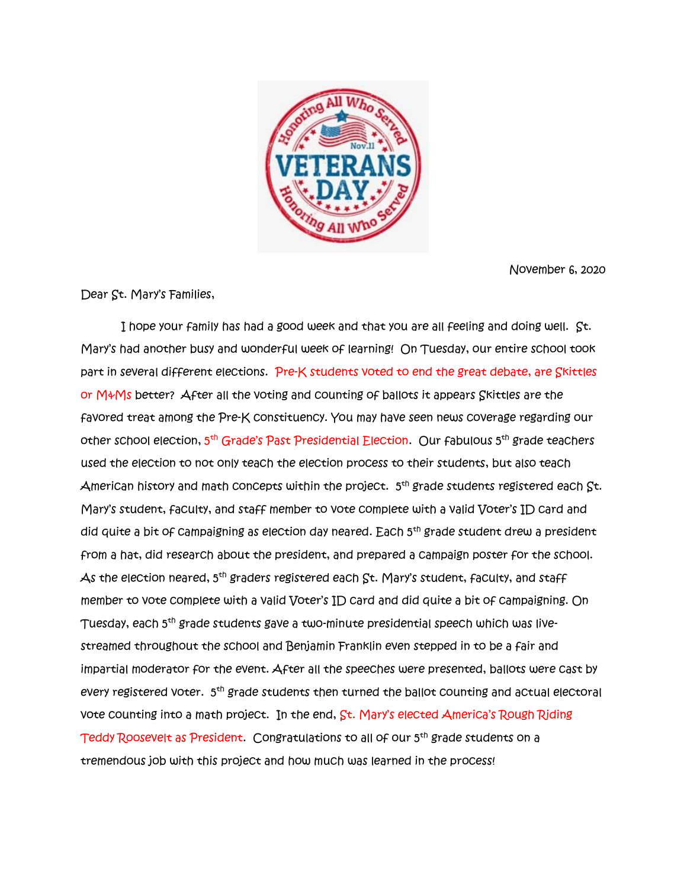

November 6, 2020

Dear St. Mary's Families,

 I hope your family has had a good week and that you are all feeling and doing well. St. Mary's had another busy and wonderful week of learning! On Tuesday, our entire school took part in several different elections. Pre-K students voted to end the great debate, are Skittles or M&Ms better? After all the voting and counting of ballots it appears Skittles are the favored treat among the Pre-K constituency. You may have seen news coverage regarding our other school election, 5<sup>th</sup> Grade's Past Presidential Election. Our fabulous 5<sup>th</sup> grade teachers used the election to not only teach the election process to their students, but also teach American history and math concepts within the project.  $\,5^{\text{th}}$  grade students registered each  $\,$ St. Mary's student, faculty, and staff member to vote complete with a valid Voter's ID card and did quite a bit of campaigning as election day neared. Each 5<sup>th</sup> grade student drew a president from a hat, did research about the president, and prepared a campaign poster for the school.  $\mathcal A$ s the election neared, 5<sup>th</sup> graders registered each  $\mathcal S$ t. Mary's student, faculty, and staff member to vote complete with a valid Voter's ID card and did quite a bit of campaigning. On Tuesday, each 5<sup>th</sup> grade students gave a two-minute presidential speech which was livestreamed throughout the school and Benjamin Franklin even stepped in to be a fair and impartial moderator for the event. After all the speeches were presented, ballots were cast by every registered voter. 5<sup>th</sup> grade students then turned the ballot counting and actual electoral vote counting into a math project. In the end, St. Mary's elected America's Rough Riding Teddy Roosevelt as President. Congratulations to all of our 5<sup>th</sup> grade students on a tremendous job with this project and how much was learned in the process!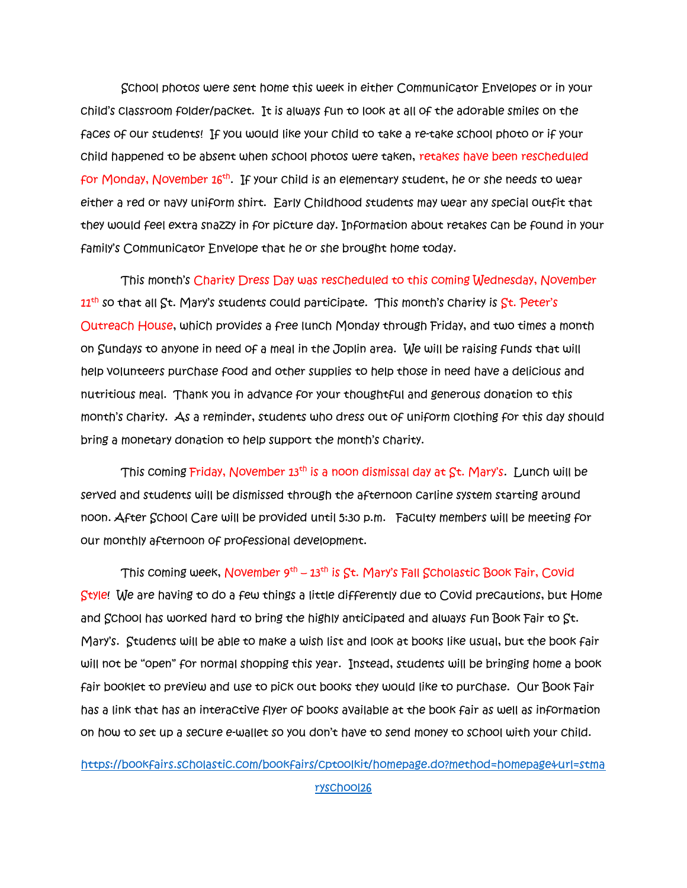School photos were sent home this week in either Communicator Envelopes or in your child's classroom folder/packet. It is always fun to look at all of the adorable smiles on the faces of our students! If you would like your child to take a re-take school photo or if your child happened to be absent when school photos were taken, retakes have been rescheduled for Monday, November 16<sup>th</sup>. If your child is an elementary student, he or she needs to wear either a red or navy uniform shirt. Early Childhood students may wear any special outfit that they would feel extra snazzy in for picture day. Information about retakes can be found in your family's Communicator Envelope that he or she brought home today.

 This month's Charity Dress Day was rescheduled to this coming Wednesday, November  $11<sup>th</sup>$  so that all  $St.$  Mary's students could participate. This month's charity is  $St.$  Peter's Outreach House, which provides a free lunch Monday through Friday, and two times a month on Sundays to anyone in need of a meal in the Joplin area. We will be raising funds that will help volunteers purchase food and other supplies to help those in need have a delicious and nutritious meal. Thank you in advance for your thoughtful and generous donation to this month's charity. As a reminder, students who dress out of uniform clothing for this day should bring a monetary donation to help support the month's charity.

 This coming Friday, November 13th is a noon dismissal day at St. Mary's. Lunch will be served and students will be dismissed through the afternoon carline system starting around noon. After School Care will be provided until 5:30 p.m. Faculty members will be meeting for our monthly afternoon of professional development.

This coming week, November 9<sup>th</sup> –  $13^{\text{th}}$  is St. Mary's Fall Scholastic Book Fair, Covid Style! We are having to do a few things a little differently due to Covid precautions, but Home and School has worked hard to bring the highly anticipated and always fun Book Fair to St. Mary's. Students will be able to make a wish list and look at books like usual, but the book fair will not be "open" for normal shopping this year. Instead, students will be bringing home a book fair booklet to preview and use to pick out books they would like to purchase. Our Book Fair has a link that has an interactive flyer of books available at the book fair as well as information on how to set up a secure e-wallet so you don't have to send money to school with your child.

[https://bookfairs.scholastic.com/bookfairs/cptoolkit/homepage.do?method=homepage&url=stma](https://bookfairs.scholastic.com/bookfairs/cptoolkit/homepage.do?method=homepage&url=stmaryschool26) [ryschool26](https://bookfairs.scholastic.com/bookfairs/cptoolkit/homepage.do?method=homepage&url=stmaryschool26)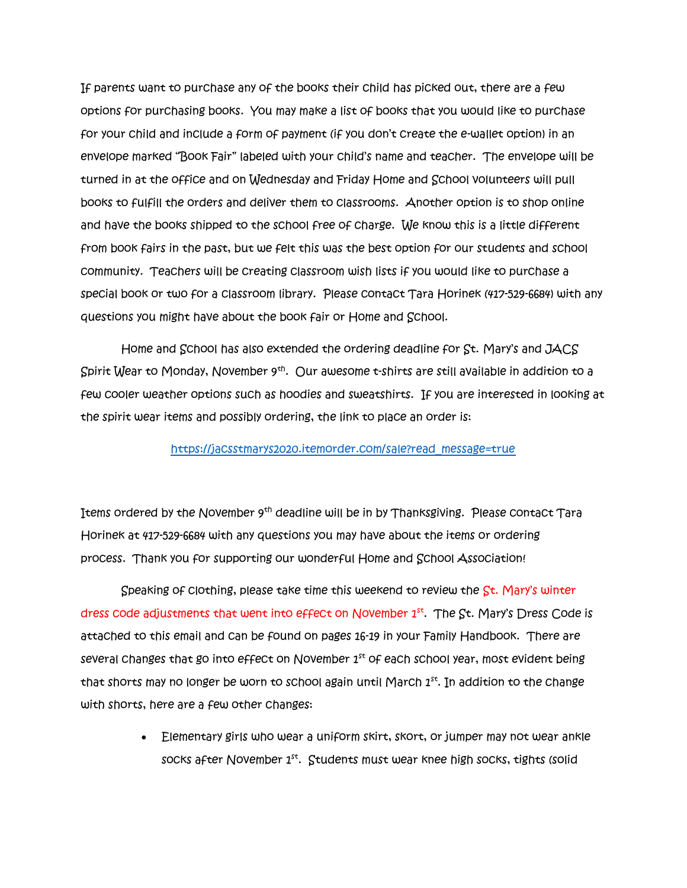If parents want to purchase any of the books their child has picked out, there are a few options for purchasing books. You may make a list of books that you would like to purchase for your child and include a form of payment (if you don't create the e-wallet option) in an envelope marked "Book Fair" labeled with your child's name and teacher. The envelope will be turned in at the office and on Wednesday and Friday Home and School volunteers will pull books to fulfill the orders and deliver them to classrooms. Another option is to shop online and have the books shipped to the school free of charge. We know this is a little different from book fairs in the past, but we felt this was the best option for our students and school community. Teachers will be creating classroom wish lists if you would like to purchase a special book or two for a classroom library. Please contact Tara Horinek (417-529-6684) with any questions you might have about the book fair or Home and School.

 Home and School has also extended the ordering deadline for St. Mary's and JACS Spirit Wear to Monday, November 9th . Our awesome t-shirts are still available in addition to a few cooler weather options such as hoodies and sweatshirts. If you are interested in looking at the spirit wear items and possibly ordering, the link to place an order is:

## [https://jacsstmarys2020.itemorder.com/sale?read\\_message=true](https://jacsstmarys2020.itemorder.com/sale?read_message=true)

Items ordered by the November 9<sup>th</sup> deadline will be in by Thanksgiving. Please contact Tara Horinek at 417-529-6684 with any questions you may have about the items or ordering process. Thank you for supporting our wonderful Home and School Association!

Speaking of clothing, please take time this weekend to review the  $St.$  Mary's winter dress code adjustments that went into effect on November 1st. The St. Mary's Dress Code is attached to this email and can be found on pages 16-19 in your Family Handbook. There are several changes that go into effect on November  $1<sup>st</sup>$  of each school year, most evident being that shorts may no longer be worn to school again until March  $1^{st}$ . In addition to the change with shorts, here are a few other changes:

> • Elementary girls who wear a uniform skirt, skort, or jumper may not wear ankle socks after November  $1^{st}$ . Students must wear knee high socks, tights (solid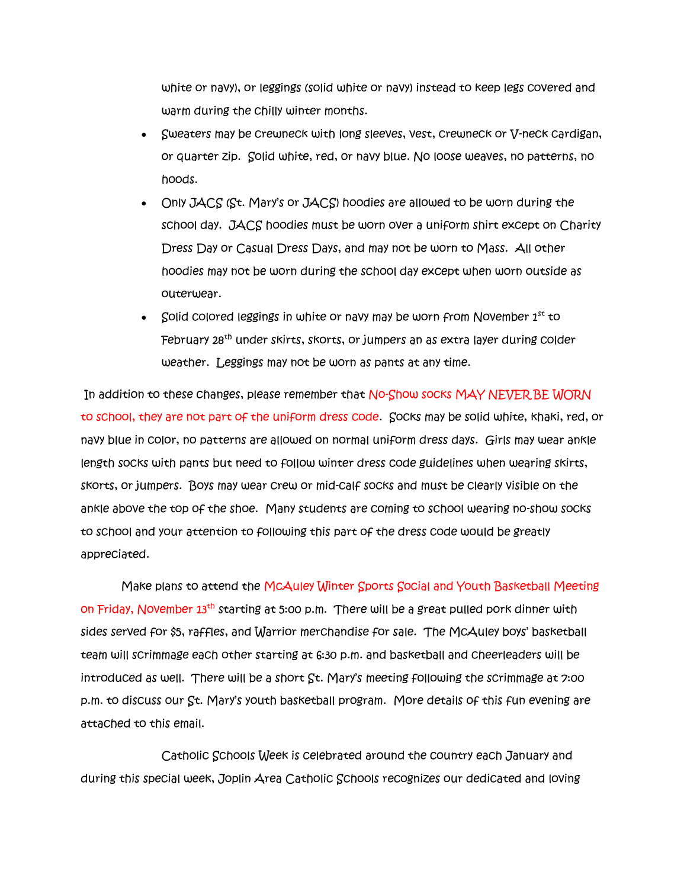white or navy), or leggings (solid white or navy) instead to keep legs covered and warm during the chilly winter months.

- Sweaters may be crewneck with long sleeves, vest, crewneck or V-neck cardigan, or quarter zip. Solid white, red, or navy blue. No loose weaves, no patterns, no hoods.
- Only JACS (St. Mary's or JACS) hoodies are allowed to be worn during the school day. JACS hoodies must be worn over a uniform shirt except on Charity Dress Day or Casual Dress Days, and may not be worn to Mass. All other hoodies may not be worn during the school day except when worn outside as outerwear.
- Solid colored leggings in white or navy may be worn from November  $1^{st}$  to February 28<sup>th</sup> under skirts, skorts, or jumpers an as extra layer during colder weather. Leggings may not be worn as pants at any time.

In addition to these changes, please remember that No-Show socks MAY NEVER BE WORN to school, they are not part of the uniform dress code. Socks may be solid white, khaki, red, or navy blue in color, no patterns are allowed on normal uniform dress days. Girls may wear ankle length socks with pants but need to follow winter dress code guidelines when wearing skirts, skorts, or jumpers. Boys may wear crew or mid-calf socks and must be clearly visible on the ankle above the top of the shoe. Many students are coming to school wearing no-show socks to school and your attention to following this part of the dress code would be greatly appreciated.

 Make plans to attend the McAuley Winter Sports Social and Youth Basketball Meeting on Friday, November 13th starting at 5:00 p.m. There will be a great pulled pork dinner with sides served for \$5, raffles, and Warrior merchandise for sale. The McAuley boys' basketball team will scrimmage each other starting at 6:30 p.m. and basketball and cheerleaders will be introduced as well. There will be a short St. Mary's meeting following the scrimmage at 7:00 p.m. to discuss our St. Mary's youth basketball program. More details of this fun evening are attached to this email.

 Catholic Schools Week is celebrated around the country each January and during this special week, Joplin Area Catholic Schools recognizes our dedicated and loving